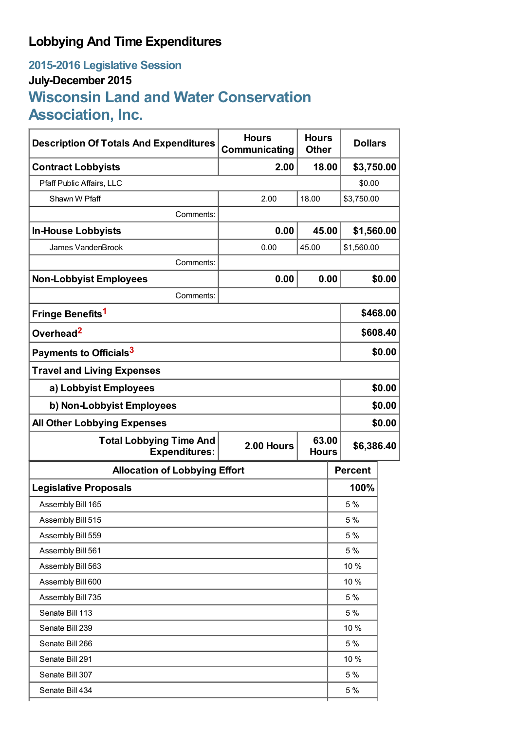# **Lobbying And Time Expenditures**

# **2015-2016 Legislative Session July-December 2015 Wisconsin Land and Water Conservation Association, Inc.**

| <b>Description Of Totals And Expenditures</b>          | <b>Hours</b><br>Communicating       | <b>Hours</b><br><b>Other</b> |                     | <b>Dollars</b> |          |
|--------------------------------------------------------|-------------------------------------|------------------------------|---------------------|----------------|----------|
| <b>Contract Lobbyists</b>                              | 2.00                                | 18.00                        |                     | \$3,750.00     |          |
| Pfaff Public Affairs, LLC                              |                                     |                              |                     | \$0.00         |          |
| Shawn W Pfaff                                          | 2.00                                | 18.00                        |                     | \$3,750.00     |          |
| Comments:                                              |                                     |                              |                     |                |          |
| <b>In-House Lobbyists</b>                              | 0.00                                |                              | 45.00<br>\$1,560.00 |                |          |
| James VandenBrook                                      | 0.00                                | 45.00                        |                     | \$1,560.00     |          |
| Comments:                                              |                                     |                              |                     |                |          |
| <b>Non-Lobbyist Employees</b>                          | 0.00                                | 0.00                         |                     | \$0.00         |          |
| Comments:                                              |                                     |                              |                     |                |          |
| Fringe Benefits <sup>1</sup>                           |                                     |                              |                     |                | \$468.00 |
| Overhead <sup>2</sup>                                  |                                     |                              |                     | \$608.40       |          |
| Payments to Officials <sup>3</sup>                     |                                     |                              |                     | \$0.00         |          |
| <b>Travel and Living Expenses</b>                      |                                     |                              |                     |                |          |
| a) Lobbyist Employees                                  |                                     |                              |                     | \$0.00         |          |
| b) Non-Lobbyist Employees                              |                                     |                              |                     | \$0.00         |          |
| <b>All Other Lobbying Expenses</b>                     |                                     |                              |                     | \$0.00         |          |
| <b>Total Lobbying Time And</b><br><b>Expenditures:</b> | 63.00<br>2.00 Hours<br><b>Hours</b> |                              |                     | \$6,386.40     |          |
| <b>Allocation of Lobbying Effort</b>                   |                                     |                              |                     | <b>Percent</b> |          |
| <b>Legislative Proposals</b>                           |                                     |                              |                     | 100%           |          |
| Assembly Bill 165                                      |                                     |                              |                     | 5%             |          |
| Assembly Bill 515                                      |                                     |                              | 5 %                 |                |          |
| Assembly Bill 559                                      |                                     |                              | 5 %                 |                |          |
| Assembly Bill 561                                      |                                     |                              | 5 %                 |                |          |
| Assembly Bill 563                                      |                                     |                              | 10 %                |                |          |
| Assembly Bill 600                                      |                                     |                              |                     | 10 %           |          |
| Assembly Bill 735                                      |                                     |                              |                     | 5 %            |          |
| Senate Bill 113                                        |                                     |                              |                     | 5 %            |          |
| Senate Bill 239                                        |                                     |                              |                     | 10 %           |          |
| Senate Bill 266                                        |                                     |                              |                     | 5 %            |          |
| Senate Bill 291                                        |                                     |                              |                     | 10 %           |          |
| Senate Bill 307                                        |                                     |                              |                     | 5 %            |          |
| Senate Bill 434                                        |                                     |                              |                     | 5 %            |          |